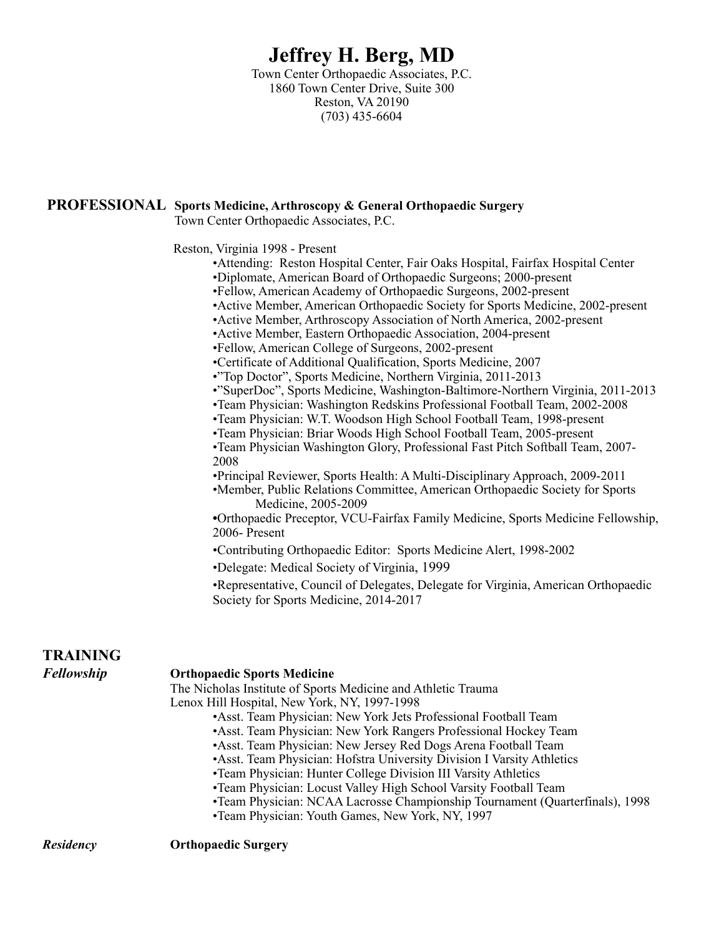## **Jeffrey H. Berg, MD**

Town Center Orthopaedic Associates, P.C. 1860 Town Center Drive, Suite 300 Reston, VA 20190 (703) 435-6604

## **PROFESSIONAL Sports Medicine, Arthroscopy & General Orthopaedic Surgery**

Town Center Orthopaedic Associates, P.C.

Reston, Virginia 1998 - Present

- •Attending: Reston Hospital Center, Fair Oaks Hospital, Fairfax Hospital Center •Diplomate, American Board of Orthopaedic Surgeons; 2000-present
- •Fellow, American Academy of Orthopaedic Surgeons, 2002-present
- •Active Member, American Orthopaedic Society for Sports Medicine, 2002-present
- •Active Member, Arthroscopy Association of North America, 2002-present
- •Active Member, Eastern Orthopaedic Association, 2004-present
- •Fellow, American College of Surgeons, 2002-present
- •Certificate of Additional Qualification, Sports Medicine, 2007
- •"Top Doctor", Sports Medicine, Northern Virginia, 2011-2013
- •"SuperDoc", Sports Medicine, Washington-Baltimore-Northern Virginia, 2011-2013
- •Team Physician: Washington Redskins Professional Football Team, 2002-2008
- •Team Physician: W.T. Woodson High School Football Team, 1998-present
- •Team Physician: Briar Woods High School Football Team, 2005-present
- •Team Physician Washington Glory, Professional Fast Pitch Softball Team, 2007- 2008
- •Principal Reviewer, Sports Health: A Multi-Disciplinary Approach, 2009-2011
- •Member, Public Relations Committee, American Orthopaedic Society for Sports Medicine, 2005-2009

 **•**Orthopaedic Preceptor, VCU-Fairfax Family Medicine, Sports Medicine Fellowship, 2006- Present

- •Contributing Orthopaedic Editor: Sports Medicine Alert, 1998-2002
- •Delegate: Medical Society of Virginia, 1999

 •Representative, Council of Delegates, Delegate for Virginia, American Orthopaedic Society for Sports Medicine, 2014-2017

| <b>TRAINING</b>   |                                                                              |
|-------------------|------------------------------------------------------------------------------|
| <b>Fellowship</b> | <b>Orthopaedic Sports Medicine</b>                                           |
|                   | The Nicholas Institute of Sports Medicine and Athletic Trauma                |
|                   | Lenox Hill Hospital, New York, NY, 1997-1998                                 |
|                   | • Asst. Team Physician: New York Jets Professional Football Team             |
|                   | • Asst. Team Physician: New York Rangers Professional Hockey Team            |
|                   | • Asst. Team Physician: New Jersey Red Dogs Arena Football Team              |
|                   | • Asst. Team Physician: Hofstra University Division I Varsity Athletics      |
|                   | • Team Physician: Hunter College Division III Varsity Athletics              |
|                   | •Team Physician: Locust Valley High School Varsity Football Team             |
|                   | •Team Physician: NCAA Lacrosse Championship Tournament (Quarterfinals), 1998 |
|                   | •Team Physician: Youth Games, New York, NY, 1997                             |
|                   |                                                                              |

*Residency* **Orthopaedic Surgery**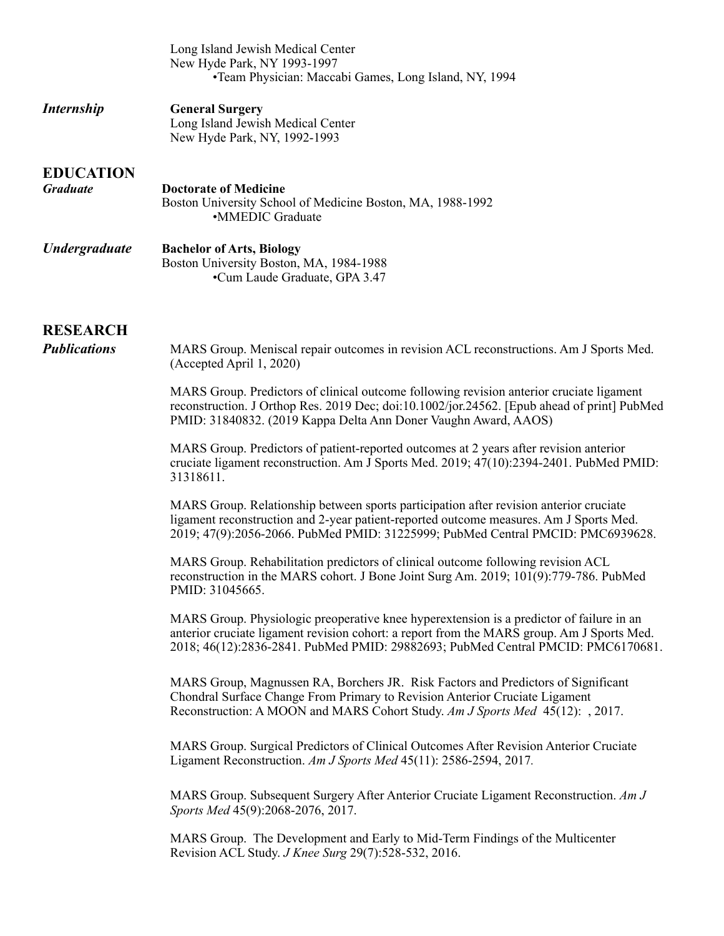|                                        | Long Island Jewish Medical Center<br>New Hyde Park, NY 1993-1997<br>•Team Physician: Maccabi Games, Long Island, NY, 1994                                                                                                                                                  |
|----------------------------------------|----------------------------------------------------------------------------------------------------------------------------------------------------------------------------------------------------------------------------------------------------------------------------|
| <i>Internship</i>                      | <b>General Surgery</b><br>Long Island Jewish Medical Center<br>New Hyde Park, NY, 1992-1993                                                                                                                                                                                |
| <b>EDUCATION</b><br><b>Graduate</b>    | <b>Doctorate of Medicine</b><br>Boston University School of Medicine Boston, MA, 1988-1992<br>•MMEDIC Graduate                                                                                                                                                             |
| <b>Undergraduate</b>                   | <b>Bachelor of Arts, Biology</b><br>Boston University Boston, MA, 1984-1988<br>•Cum Laude Graduate, GPA 3.47                                                                                                                                                               |
| <b>RESEARCH</b><br><b>Publications</b> | MARS Group. Meniscal repair outcomes in revision ACL reconstructions. Am J Sports Med.<br>(Accepted April 1, 2020)                                                                                                                                                         |
|                                        | MARS Group. Predictors of clinical outcome following revision anterior cruciate ligament<br>reconstruction. J Orthop Res. 2019 Dec; doi:10.1002/jor.24562. [Epub ahead of print] PubMed<br>PMID: 31840832. (2019 Kappa Delta Ann Doner Vaughn Award, AAOS)                 |
|                                        | MARS Group. Predictors of patient-reported outcomes at 2 years after revision anterior<br>cruciate ligament reconstruction. Am J Sports Med. 2019; 47(10):2394-2401. PubMed PMID:<br>31318611.                                                                             |
|                                        | MARS Group. Relationship between sports participation after revision anterior cruciate<br>ligament reconstruction and 2-year patient-reported outcome measures. Am J Sports Med.<br>2019; 47(9):2056-2066. PubMed PMID: 31225999; PubMed Central PMCID: PMC6939628.        |
|                                        | MARS Group. Rehabilitation predictors of clinical outcome following revision ACL<br>reconstruction in the MARS cohort. J Bone Joint Surg Am. 2019; 101(9):779-786. PubMed<br>PMID: 31045665.                                                                               |
|                                        | MARS Group. Physiologic preoperative knee hyperextension is a predictor of failure in an<br>anterior cruciate ligament revision cohort: a report from the MARS group. Am J Sports Med.<br>2018; 46(12):2836-2841. PubMed PMID: 29882693; PubMed Central PMCID: PMC6170681. |
|                                        | MARS Group, Magnussen RA, Borchers JR. Risk Factors and Predictors of Significant<br>Chondral Surface Change From Primary to Revision Anterior Cruciate Ligament<br>Reconstruction: A MOON and MARS Cohort Study. Am J Sports Med 45(12): , 2017.                          |
|                                        | MARS Group. Surgical Predictors of Clinical Outcomes After Revision Anterior Cruciate<br>Ligament Reconstruction. Am J Sports Med 45(11): 2586-2594, 2017.                                                                                                                 |
|                                        | MARS Group. Subsequent Surgery After Anterior Cruciate Ligament Reconstruction. Am J<br>Sports Med 45(9):2068-2076, 2017.                                                                                                                                                  |
|                                        | MARS Group. The Development and Early to Mid-Term Findings of the Multicenter<br>Revision ACL Study. J Knee Surg 29(7):528-532, 2016.                                                                                                                                      |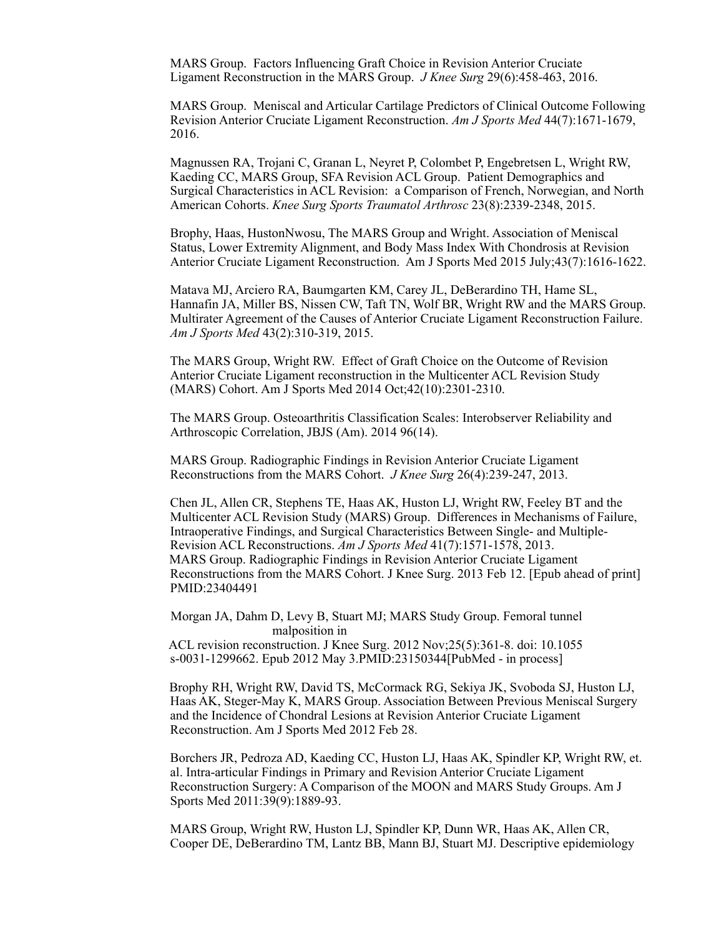MARS Group. Factors Influencing Graft Choice in Revision Anterior Cruciate Ligament Reconstruction in the MARS Group. *J Knee Surg* 29(6):458-463, 2016.

MARS Group. Meniscal and Articular Cartilage Predictors of Clinical Outcome Following Revision Anterior Cruciate Ligament Reconstruction. *Am J Sports Med* 44(7):1671-1679, 2016.

Magnussen RA, Trojani C, Granan L, Neyret P, Colombet P, Engebretsen L, Wright RW, Kaeding CC, MARS Group, SFA Revision ACL Group. Patient Demographics and Surgical Characteristics in ACL Revision: a Comparison of French, Norwegian, and North American Cohorts. *Knee Surg Sports Traumatol Arthrosc* 23(8):2339-2348, 2015.

Brophy, Haas, HustonNwosu, The MARS Group and Wright. Association of Meniscal Status, Lower Extremity Alignment, and Body Mass Index With Chondrosis at Revision Anterior Cruciate Ligament Reconstruction. Am J Sports Med 2015 July;43(7):1616-1622.

Matava MJ, Arciero RA, Baumgarten KM, Carey JL, DeBerardino TH, Hame SL, Hannafin JA, Miller BS, Nissen CW, Taft TN, Wolf BR, Wright RW and the MARS Group. Multirater Agreement of the Causes of Anterior Cruciate Ligament Reconstruction Failure. *Am J Sports Med* 43(2):310-319, 2015.

 The MARS Group, Wright RW. Effect of Graft Choice on the Outcome of Revision Anterior Cruciate Ligament reconstruction in the Multicenter ACL Revision Study (MARS) Cohort. Am J Sports Med 2014 Oct;42(10):2301-2310.

 The MARS Group. Osteoarthritis Classification Scales: Interobserver Reliability and Arthroscopic Correlation, JBJS (Am). 2014 96(14).

MARS Group. Radiographic Findings in Revision Anterior Cruciate Ligament Reconstructions from the MARS Cohort. *J Knee Surg* 26(4):239-247, 2013.

Chen JL, Allen CR, Stephens TE, Haas AK, Huston LJ, Wright RW, Feeley BT and the Multicenter ACL Revision Study (MARS) Group. Differences in Mechanisms of Failure, Intraoperative Findings, and Surgical Characteristics Between Single- and Multiple-Revision ACL Reconstructions. *Am J Sports Med* 41(7):1571-1578, 2013. MARS Group. Radiographic Findings in Revision Anterior Cruciate Ligament Reconstructions from the MARS Cohort. J Knee Surg. 2013 Feb 12. [Epub ahead of print] PMID:23404491

 Morgan JA, Dahm D, Levy B, Stuart MJ; MARS Study Group. Femoral tunnel malposition in ACL revision reconstruction. J Knee Surg. 2012 Nov;25(5):361-8. doi: 10.1055 s-0031-1299662. Epub 2012 May 3.PMID:23150344[PubMed - in process]

 Brophy RH, Wright RW, David TS, McCormack RG, Sekiya JK, Svoboda SJ, Huston LJ, Haas AK, Steger-May K, MARS Group. Association Between Previous Meniscal Surgery and the Incidence of Chondral Lesions at Revision Anterior Cruciate Ligament Reconstruction. Am J Sports Med 2012 Feb 28.

 Borchers JR, Pedroza AD, Kaeding CC, Huston LJ, Haas AK, Spindler KP, Wright RW, et. al. Intra-articular Findings in Primary and Revision Anterior Cruciate Ligament Reconstruction Surgery: A Comparison of the MOON and MARS Study Groups. Am J Sports Med 2011:39(9):1889-93.

 MARS Group, Wright RW, Huston LJ, Spindler KP, Dunn WR, Haas AK, Allen CR, Cooper DE, DeBerardino TM, Lantz BB, Mann BJ, Stuart MJ. Descriptive epidemiology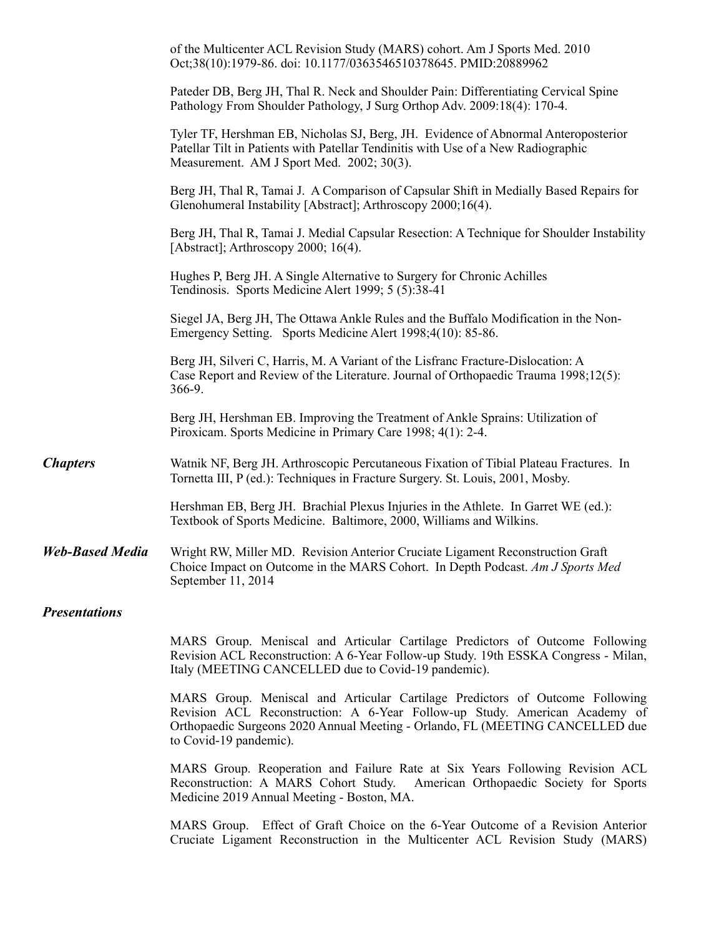|                        | of the Multicenter ACL Revision Study (MARS) cohort. Am J Sports Med. 2010<br>Oct;38(10):1979-86. doi: 10.1177/0363546510378645. PMID:20889962                                                                                                                        |
|------------------------|-----------------------------------------------------------------------------------------------------------------------------------------------------------------------------------------------------------------------------------------------------------------------|
|                        | Pateder DB, Berg JH, Thal R. Neck and Shoulder Pain: Differentiating Cervical Spine<br>Pathology From Shoulder Pathology, J Surg Orthop Adv. 2009:18(4): 170-4.                                                                                                       |
|                        | Tyler TF, Hershman EB, Nicholas SJ, Berg, JH. Evidence of Abnormal Anteroposterior<br>Patellar Tilt in Patients with Patellar Tendinitis with Use of a New Radiographic<br>Measurement. AM J Sport Med. 2002; 30(3).                                                  |
|                        | Berg JH, Thal R, Tamai J. A Comparison of Capsular Shift in Medially Based Repairs for<br>Glenohumeral Instability [Abstract]; Arthroscopy 2000;16(4).                                                                                                                |
|                        | Berg JH, Thal R, Tamai J. Medial Capsular Resection: A Technique for Shoulder Instability<br>[Abstract]; Arthroscopy 2000; 16(4).                                                                                                                                     |
|                        | Hughes P, Berg JH. A Single Alternative to Surgery for Chronic Achilles<br>Tendinosis. Sports Medicine Alert 1999; 5 (5):38-41                                                                                                                                        |
|                        | Siegel JA, Berg JH, The Ottawa Ankle Rules and the Buffalo Modification in the Non-<br>Emergency Setting. Sports Medicine Alert 1998;4(10): 85-86.                                                                                                                    |
|                        | Berg JH, Silveri C, Harris, M. A Variant of the Lisfranc Fracture-Dislocation: A<br>Case Report and Review of the Literature. Journal of Orthopaedic Trauma 1998;12(5):<br>366-9.                                                                                     |
|                        | Berg JH, Hershman EB. Improving the Treatment of Ankle Sprains: Utilization of<br>Piroxicam. Sports Medicine in Primary Care 1998; 4(1): 2-4.                                                                                                                         |
| <b>Chapters</b>        | Watnik NF, Berg JH. Arthroscopic Percutaneous Fixation of Tibial Plateau Fractures. In<br>Tornetta III, P (ed.): Techniques in Fracture Surgery. St. Louis, 2001, Mosby.                                                                                              |
|                        | Hershman EB, Berg JH. Brachial Plexus Injuries in the Athlete. In Garret WE (ed.):<br>Textbook of Sports Medicine. Baltimore, 2000, Williams and Wilkins.                                                                                                             |
| <b>Web-Based Media</b> | Wright RW, Miller MD. Revision Anterior Cruciate Ligament Reconstruction Graft<br>Choice Impact on Outcome in the MARS Cohort. In Depth Podcast. Am J Sports Med<br>September 11, 2014                                                                                |
| <b>Presentations</b>   |                                                                                                                                                                                                                                                                       |
|                        | MARS Group. Meniscal and Articular Cartilage Predictors of Outcome Following<br>Revision ACL Reconstruction: A 6-Year Follow-up Study. 19th ESSKA Congress - Milan,<br>Italy (MEETING CANCELLED due to Covid-19 pandemic).                                            |
|                        | MARS Group. Meniscal and Articular Cartilage Predictors of Outcome Following<br>Revision ACL Reconstruction: A 6-Year Follow-up Study. American Academy of<br>Orthopaedic Surgeons 2020 Annual Meeting - Orlando, FL (MEETING CANCELLED due<br>to Covid-19 pandemic). |
|                        | MARS Group. Reoperation and Failure Rate at Six Years Following Revision ACL<br>Reconstruction: A MARS Cohort Study. American Orthopaedic Society for Sports<br>Medicine 2019 Annual Meeting - Boston, MA.                                                            |
|                        | MARS Group. Effect of Graft Choice on the 6-Year Outcome of a Revision Anterior<br>Cruciate Ligament Reconstruction in the Multicenter ACL Revision Study (MARS)                                                                                                      |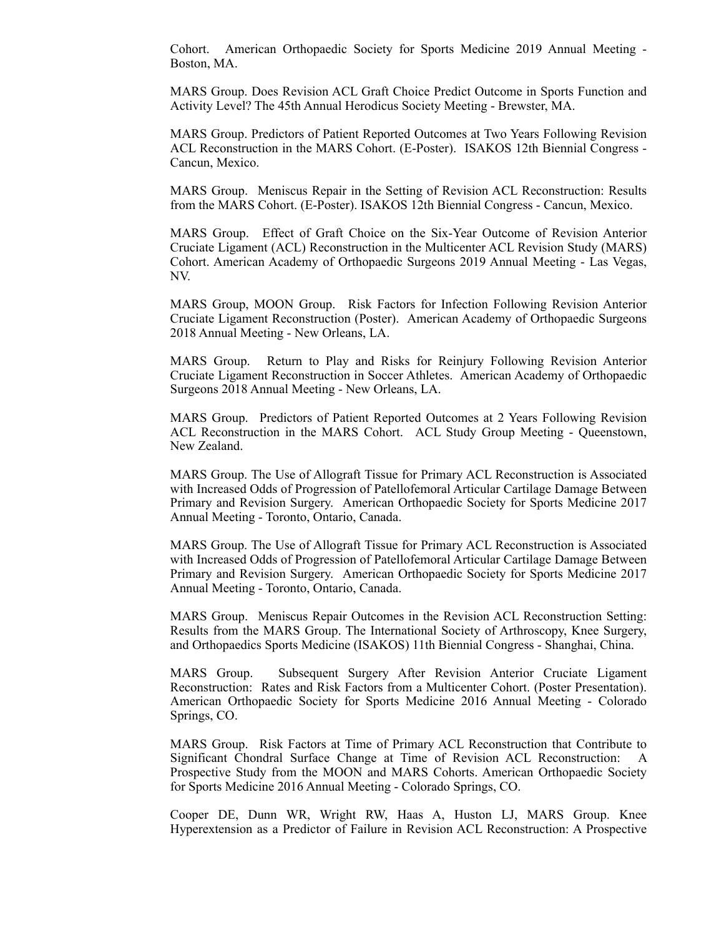Cohort. American Orthopaedic Society for Sports Medicine 2019 Annual Meeting - Boston, MA.

 MARS Group. Does Revision ACL Graft Choice Predict Outcome in Sports Function and Activity Level? The 45th Annual Herodicus Society Meeting - Brewster, MA.

 MARS Group. Predictors of Patient Reported Outcomes at Two Years Following Revision ACL Reconstruction in the MARS Cohort. (E-Poster). ISAKOS 12th Biennial Congress - Cancun, Mexico.

 MARS Group. Meniscus Repair in the Setting of Revision ACL Reconstruction: Results from the MARS Cohort. (E-Poster). ISAKOS 12th Biennial Congress - Cancun, Mexico.

 MARS Group. Effect of Graft Choice on the Six-Year Outcome of Revision Anterior Cruciate Ligament (ACL) Reconstruction in the Multicenter ACL Revision Study (MARS) Cohort. American Academy of Orthopaedic Surgeons 2019 Annual Meeting - Las Vegas, NV.

 MARS Group, MOON Group. Risk Factors for Infection Following Revision Anterior Cruciate Ligament Reconstruction (Poster). American Academy of Orthopaedic Surgeons 2018 Annual Meeting - New Orleans, LA.

 MARS Group. Return to Play and Risks for Reinjury Following Revision Anterior Cruciate Ligament Reconstruction in Soccer Athletes. American Academy of Orthopaedic Surgeons 2018 Annual Meeting - New Orleans, LA.

 MARS Group. Predictors of Patient Reported Outcomes at 2 Years Following Revision ACL Reconstruction in the MARS Cohort. ACL Study Group Meeting - Queenstown, New Zealand.

 MARS Group. The Use of Allograft Tissue for Primary ACL Reconstruction is Associated with Increased Odds of Progression of Patellofemoral Articular Cartilage Damage Between Primary and Revision Surgery. American Orthopaedic Society for Sports Medicine 2017 Annual Meeting - Toronto, Ontario, Canada.

 MARS Group. The Use of Allograft Tissue for Primary ACL Reconstruction is Associated with Increased Odds of Progression of Patellofemoral Articular Cartilage Damage Between Primary and Revision Surgery. American Orthopaedic Society for Sports Medicine 2017 Annual Meeting - Toronto, Ontario, Canada.

 MARS Group. Meniscus Repair Outcomes in the Revision ACL Reconstruction Setting: Results from the MARS Group. The International Society of Arthroscopy, Knee Surgery, and Orthopaedics Sports Medicine (ISAKOS) 11th Biennial Congress - Shanghai, China.

 MARS Group. Subsequent Surgery After Revision Anterior Cruciate Ligament Reconstruction: Rates and Risk Factors from a Multicenter Cohort. (Poster Presentation). American Orthopaedic Society for Sports Medicine 2016 Annual Meeting - Colorado Springs, CO.

 MARS Group. Risk Factors at Time of Primary ACL Reconstruction that Contribute to Significant Chondral Surface Change at Time of Revision ACL Reconstruction: A Prospective Study from the MOON and MARS Cohorts. American Orthopaedic Society for Sports Medicine 2016 Annual Meeting - Colorado Springs, CO.

 Cooper DE, Dunn WR, Wright RW, Haas A, Huston LJ, MARS Group. Knee Hyperextension as a Predictor of Failure in Revision ACL Reconstruction: A Prospective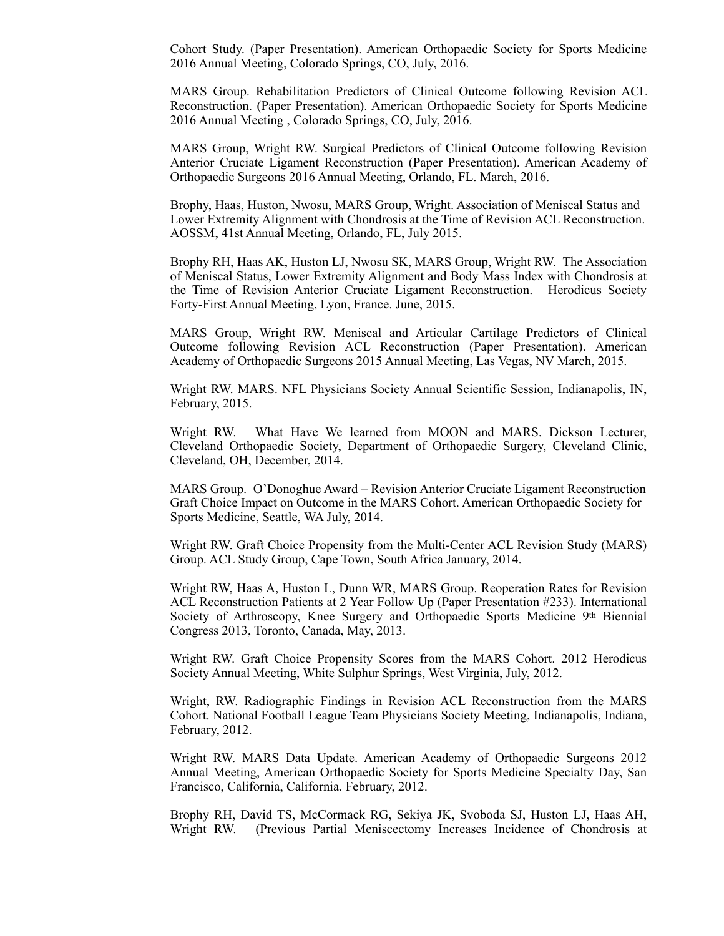Cohort Study. (Paper Presentation). American Orthopaedic Society for Sports Medicine 2016 Annual Meeting, Colorado Springs, CO, July, 2016.

MARS Group. Rehabilitation Predictors of Clinical Outcome following Revision ACL Reconstruction. (Paper Presentation). American Orthopaedic Society for Sports Medicine 2016 Annual Meeting , Colorado Springs, CO, July, 2016.

MARS Group, Wright RW. Surgical Predictors of Clinical Outcome following Revision Anterior Cruciate Ligament Reconstruction (Paper Presentation). American Academy of Orthopaedic Surgeons 2016 Annual Meeting, Orlando, FL. March, 2016.

 Brophy, Haas, Huston, Nwosu, MARS Group, Wright. Association of Meniscal Status and Lower Extremity Alignment with Chondrosis at the Time of Revision ACL Reconstruction. AOSSM, 41st Annual Meeting, Orlando, FL, July 2015.

Brophy RH, Haas AK, Huston LJ, Nwosu SK, MARS Group, Wright RW. The Association of Meniscal Status, Lower Extremity Alignment and Body Mass Index with Chondrosis at the Time of Revision Anterior Cruciate Ligament Reconstruction. Herodicus Society Forty-First Annual Meeting, Lyon, France. June, 2015.

MARS Group, Wright RW. Meniscal and Articular Cartilage Predictors of Clinical Outcome following Revision ACL Reconstruction (Paper Presentation). American Academy of Orthopaedic Surgeons 2015 Annual Meeting, Las Vegas, NV March, 2015.

Wright RW. MARS. NFL Physicians Society Annual Scientific Session, Indianapolis, IN, February, 2015.

Wright RW. What Have We learned from MOON and MARS. Dickson Lecturer, Cleveland Orthopaedic Society, Department of Orthopaedic Surgery, Cleveland Clinic, Cleveland, OH, December, 2014.

MARS Group. O'Donoghue Award – Revision Anterior Cruciate Ligament Reconstruction Graft Choice Impact on Outcome in the MARS Cohort. American Orthopaedic Society for Sports Medicine, Seattle, WA July, 2014.

Wright RW. Graft Choice Propensity from the Multi-Center ACL Revision Study (MARS) Group. ACL Study Group, Cape Town, South Africa January, 2014.

Wright RW, Haas A, Huston L, Dunn WR, MARS Group. Reoperation Rates for Revision ACL Reconstruction Patients at 2 Year Follow Up (Paper Presentation #233). International Society of Arthroscopy, Knee Surgery and Orthopaedic Sports Medicine 9th Biennial Congress 2013, Toronto, Canada, May, 2013.

Wright RW. Graft Choice Propensity Scores from the MARS Cohort. 2012 Herodicus Society Annual Meeting, White Sulphur Springs, West Virginia, July, 2012.

Wright, RW. Radiographic Findings in Revision ACL Reconstruction from the MARS Cohort. National Football League Team Physicians Society Meeting, Indianapolis, Indiana, February, 2012.

Wright RW. MARS Data Update. American Academy of Orthopaedic Surgeons 2012 Annual Meeting, American Orthopaedic Society for Sports Medicine Specialty Day, San Francisco, California, California. February, 2012.

Brophy RH, David TS, McCormack RG, Sekiya JK, Svoboda SJ, Huston LJ, Haas AH, Wright RW. (Previous Partial Meniscectomy Increases Incidence of Chondrosis at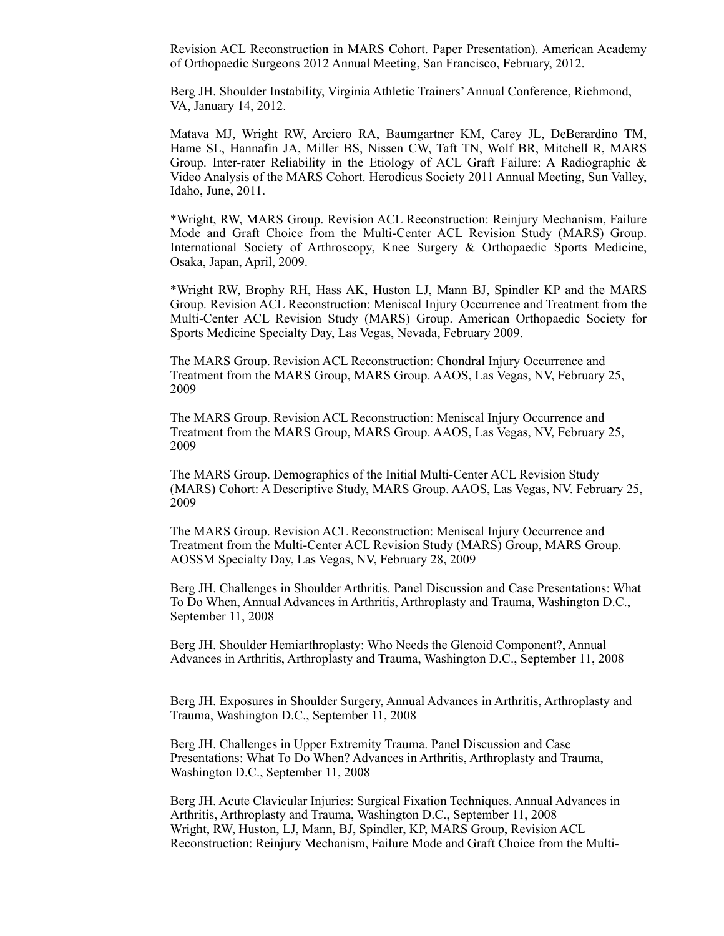Revision ACL Reconstruction in MARS Cohort. Paper Presentation). American Academy of Orthopaedic Surgeons 2012 Annual Meeting, San Francisco, February, 2012.

Berg JH. Shoulder Instability, Virginia Athletic Trainers' Annual Conference, Richmond, VA, January 14, 2012.

Matava MJ, Wright RW, Arciero RA, Baumgartner KM, Carey JL, DeBerardino TM, Hame SL, Hannafin JA, Miller BS, Nissen CW, Taft TN, Wolf BR, Mitchell R, MARS Group. Inter-rater Reliability in the Etiology of ACL Graft Failure: A Radiographic & Video Analysis of the MARS Cohort. Herodicus Society 2011 Annual Meeting, Sun Valley, Idaho, June, 2011.

\*Wright, RW, MARS Group. Revision ACL Reconstruction: Reinjury Mechanism, Failure Mode and Graft Choice from the Multi-Center ACL Revision Study (MARS) Group. International Society of Arthroscopy, Knee Surgery & Orthopaedic Sports Medicine, Osaka, Japan, April, 2009.

\*Wright RW, Brophy RH, Hass AK, Huston LJ, Mann BJ, Spindler KP and the MARS Group. Revision ACL Reconstruction: Meniscal Injury Occurrence and Treatment from the Multi-Center ACL Revision Study (MARS) Group. American Orthopaedic Society for Sports Medicine Specialty Day, Las Vegas, Nevada, February 2009.

 The MARS Group. Revision ACL Reconstruction: Chondral Injury Occurrence and Treatment from the MARS Group, MARS Group. AAOS, Las Vegas, NV, February 25, 2009

The MARS Group. Revision ACL Reconstruction: Meniscal Injury Occurrence and Treatment from the MARS Group, MARS Group. AAOS, Las Vegas, NV, February 25, 2009

The MARS Group. Demographics of the Initial Multi-Center ACL Revision Study (MARS) Cohort: A Descriptive Study, MARS Group. AAOS, Las Vegas, NV. February 25, 2009

The MARS Group. Revision ACL Reconstruction: Meniscal Injury Occurrence and Treatment from the Multi-Center ACL Revision Study (MARS) Group, MARS Group. AOSSM Specialty Day, Las Vegas, NV, February 28, 2009

 Berg JH. Challenges in Shoulder Arthritis. Panel Discussion and Case Presentations: What To Do When, Annual Advances in Arthritis, Arthroplasty and Trauma, Washington D.C., September 11, 2008

 Berg JH. Shoulder Hemiarthroplasty: Who Needs the Glenoid Component?, Annual Advances in Arthritis, Arthroplasty and Trauma, Washington D.C., September 11, 2008

 Berg JH. Exposures in Shoulder Surgery, Annual Advances in Arthritis, Arthroplasty and Trauma, Washington D.C., September 11, 2008

 Berg JH. Challenges in Upper Extremity Trauma. Panel Discussion and Case Presentations: What To Do When? Advances in Arthritis, Arthroplasty and Trauma, Washington D.C., September 11, 2008

 Berg JH. Acute Clavicular Injuries: Surgical Fixation Techniques. Annual Advances in Arthritis, Arthroplasty and Trauma, Washington D.C., September 11, 2008 Wright, RW, Huston, LJ, Mann, BJ, Spindler, KP, MARS Group, Revision ACL Reconstruction: Reinjury Mechanism, Failure Mode and Graft Choice from the Multi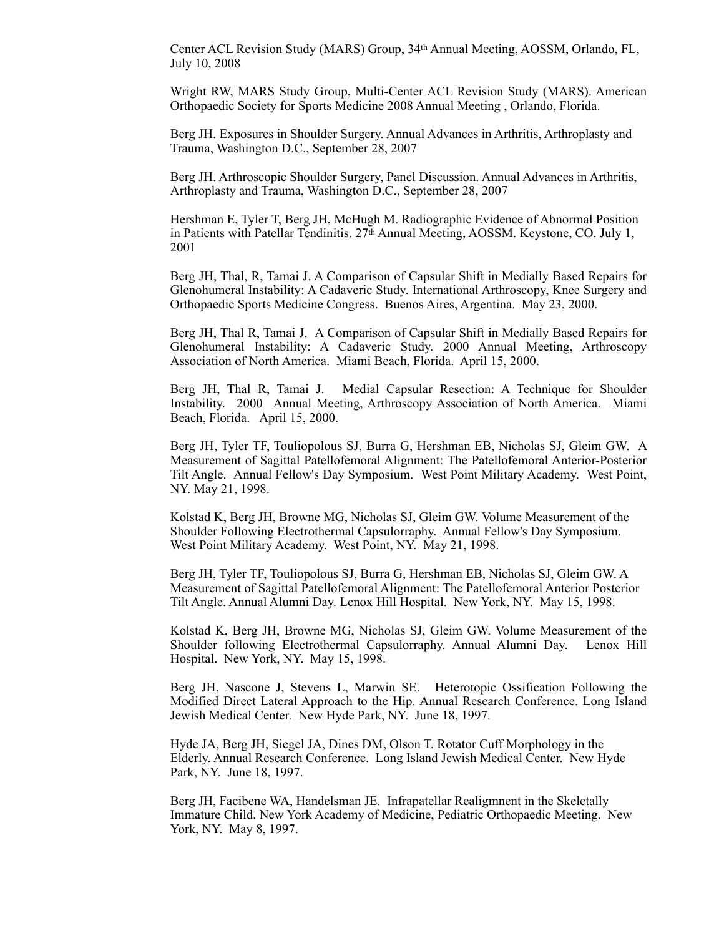Center ACL Revision Study (MARS) Group, 34th Annual Meeting, AOSSM, Orlando, FL, July 10, 2008

Wright RW, MARS Study Group, Multi-Center ACL Revision Study (MARS). American Orthopaedic Society for Sports Medicine 2008 Annual Meeting , Orlando, Florida.

Berg JH. Exposures in Shoulder Surgery. Annual Advances in Arthritis, Arthroplasty and Trauma, Washington D.C., September 28, 2007

 Berg JH. Arthroscopic Shoulder Surgery, Panel Discussion. Annual Advances in Arthritis, Arthroplasty and Trauma, Washington D.C., September 28, 2007

 Hershman E, Tyler T, Berg JH, McHugh M. Radiographic Evidence of Abnormal Position in Patients with Patellar Tendinitis. 27<sup>th</sup> Annual Meeting, AOSSM. Keystone, CO. July 1, 2001

 Berg JH, Thal, R, Tamai J. A Comparison of Capsular Shift in Medially Based Repairs for Glenohumeral Instability: A Cadaveric Study. International Arthroscopy, Knee Surgery and Orthopaedic Sports Medicine Congress. Buenos Aires, Argentina. May 23, 2000.

Berg JH, Thal R, Tamai J. A Comparison of Capsular Shift in Medially Based Repairs for Glenohumeral Instability: A Cadaveric Study. 2000 Annual Meeting, Arthroscopy Association of North America. Miami Beach, Florida. April 15, 2000.

Berg JH, Thal R, Tamai J. Medial Capsular Resection: A Technique for Shoulder Instability. 2000 Annual Meeting, Arthroscopy Association of North America. Miami Beach, Florida. April 15, 2000.

Berg JH, Tyler TF, Touliopolous SJ, Burra G, Hershman EB, Nicholas SJ, Gleim GW. A Measurement of Sagittal Patellofemoral Alignment: The Patellofemoral Anterior-Posterior Tilt Angle. Annual Fellow's Day Symposium. West Point Military Academy. West Point, NY. May 21, 1998.

 Kolstad K, Berg JH, Browne MG, Nicholas SJ, Gleim GW. Volume Measurement of the Shoulder Following Electrothermal Capsulorraphy. Annual Fellow's Day Symposium. West Point Military Academy. West Point, NY. May 21, 1998.

 Berg JH, Tyler TF, Touliopolous SJ, Burra G, Hershman EB, Nicholas SJ, Gleim GW. A Measurement of Sagittal Patellofemoral Alignment: The Patellofemoral Anterior Posterior Tilt Angle. Annual Alumni Day. Lenox Hill Hospital. New York, NY. May 15, 1998.

Kolstad K, Berg JH, Browne MG, Nicholas SJ, Gleim GW. Volume Measurement of the Shoulder following Electrothermal Capsulorraphy. Annual Alumni Day. Lenox Hill Hospital. New York, NY. May 15, 1998.

Berg JH, Nascone J, Stevens L, Marwin SE. Heterotopic Ossification Following the Modified Direct Lateral Approach to the Hip. Annual Research Conference. Long Island Jewish Medical Center. New Hyde Park, NY. June 18, 1997.

Hyde JA, Berg JH, Siegel JA, Dines DM, Olson T. Rotator Cuff Morphology in the Elderly. Annual Research Conference. Long Island Jewish Medical Center. New Hyde Park, NY. June 18, 1997.

Berg JH, Facibene WA, Handelsman JE. Infrapatellar Realigmnent in the Skeletally Immature Child. New York Academy of Medicine, Pediatric Orthopaedic Meeting. New York, NY. May 8, 1997.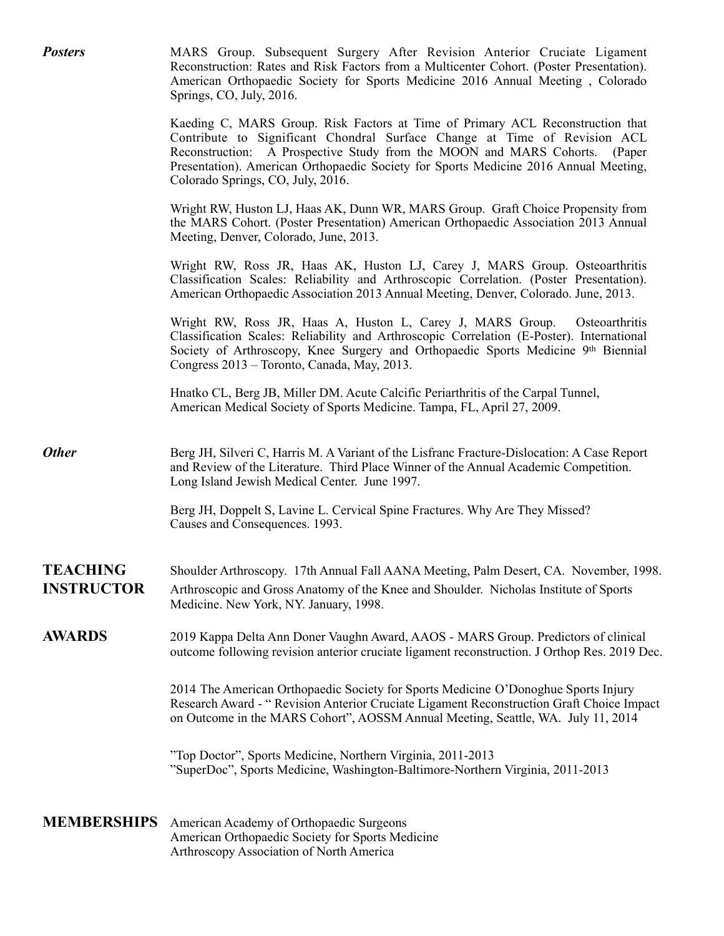| <b>Posters</b>                       | MARS Group. Subsequent Surgery After Revision Anterior Cruciate Ligament<br>Reconstruction: Rates and Risk Factors from a Multicenter Cohort. (Poster Presentation).<br>American Orthopaedic Society for Sports Medicine 2016 Annual Meeting, Colorado<br>Springs, CO, July, 2016.                                                                                     |
|--------------------------------------|------------------------------------------------------------------------------------------------------------------------------------------------------------------------------------------------------------------------------------------------------------------------------------------------------------------------------------------------------------------------|
|                                      | Kaeding C, MARS Group. Risk Factors at Time of Primary ACL Reconstruction that<br>Contribute to Significant Chondral Surface Change at Time of Revision ACL<br>Reconstruction: A Prospective Study from the MOON and MARS Cohorts. (Paper<br>Presentation). American Orthopaedic Society for Sports Medicine 2016 Annual Meeting,<br>Colorado Springs, CO, July, 2016. |
|                                      | Wright RW, Huston LJ, Haas AK, Dunn WR, MARS Group. Graft Choice Propensity from<br>the MARS Cohort. (Poster Presentation) American Orthopaedic Association 2013 Annual<br>Meeting, Denver, Colorado, June, 2013.                                                                                                                                                      |
|                                      | Wright RW, Ross JR, Haas AK, Huston LJ, Carey J, MARS Group. Osteoarthritis<br>Classification Scales: Reliability and Arthroscopic Correlation. (Poster Presentation).<br>American Orthopaedic Association 2013 Annual Meeting, Denver, Colorado. June, 2013.                                                                                                          |
|                                      | Wright RW, Ross JR, Haas A, Huston L, Carey J, MARS Group.<br>Osteoarthritis<br>Classification Scales: Reliability and Arthroscopic Correlation (E-Poster). International<br>Society of Arthroscopy, Knee Surgery and Orthopaedic Sports Medicine 9th Biennial<br>Congress 2013 – Toronto, Canada, May, 2013.                                                          |
|                                      | Hnatko CL, Berg JB, Miller DM. Acute Calcific Periarthritis of the Carpal Tunnel,<br>American Medical Society of Sports Medicine. Tampa, FL, April 27, 2009.                                                                                                                                                                                                           |
| <b>Other</b>                         | Berg JH, Silveri C, Harris M. A Variant of the Lisfranc Fracture-Dislocation: A Case Report<br>and Review of the Literature. Third Place Winner of the Annual Academic Competition.<br>Long Island Jewish Medical Center. June 1997.                                                                                                                                   |
|                                      | Berg JH, Doppelt S, Lavine L. Cervical Spine Fractures. Why Are They Missed?<br>Causes and Consequences. 1993.                                                                                                                                                                                                                                                         |
| <b>TEACHING</b><br><b>INSTRUCTOR</b> | Shoulder Arthroscopy. 17th Annual Fall AANA Meeting, Palm Desert, CA. November, 1998.<br>Arthroscopic and Gross Anatomy of the Knee and Shoulder. Nicholas Institute of Sports<br>Medicine. New York, NY. January, 1998.                                                                                                                                               |
| <b>AWARDS</b>                        | 2019 Kappa Delta Ann Doner Vaughn Award, AAOS - MARS Group. Predictors of clinical<br>outcome following revision anterior cruciate ligament reconstruction. J Orthop Res. 2019 Dec.                                                                                                                                                                                    |
|                                      | 2014 The American Orthopaedic Society for Sports Medicine O'Donoghue Sports Injury<br>Research Award - "Revision Anterior Cruciate Ligament Reconstruction Graft Choice Impact<br>on Outcome in the MARS Cohort", AOSSM Annual Meeting, Seattle, WA. July 11, 2014                                                                                                     |
|                                      | "Top Doctor", Sports Medicine, Northern Virginia, 2011-2013<br>"SuperDoc", Sports Medicine, Washington-Baltimore-Northern Virginia, 2011-2013                                                                                                                                                                                                                          |
| <b>MEMBERSHIPS</b>                   | American Academy of Orthopaedic Surgeons<br>American Orthopaedic Society for Sports Medicine<br>Arthroscopy Association of North America                                                                                                                                                                                                                               |